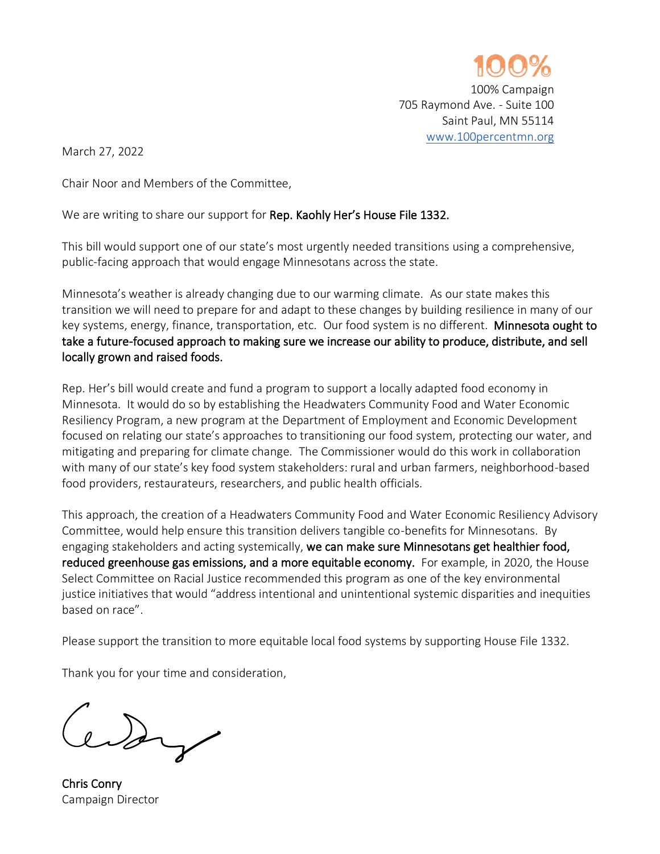

March 27, 2022

Chair Noor and Members of the Committee,

We are writing to share our support for Rep. Kaohly Her's House File 1332.

This bill would support one of our state's most urgently needed transitions using a comprehensive, public-facing approach that would engage Minnesotans across the state.

Minnesota's weather is already changing due to our warming climate. As our state makes this transition we will need to prepare for and adapt to these changes by building resilience in many of our key systems, energy, finance, transportation, etc. Our food system is no different. Minnesota ought to take a future-focused approach to making sure we increase our ability to produce, distribute, and sell locally grown and raised foods.

Rep. Her's bill would create and fund a program to support a locally adapted food economy in Minnesota. It would do so by establishing the Headwaters Community Food and Water Economic Resiliency Program, a new program at the Department of Employment and Economic Development focused on relating our state's approaches to transitioning our food system, protecting our water, and mitigating and preparing for climate change. The Commissioner would do this work in collaboration with many of our state's key food system stakeholders: rural and urban farmers, neighborhood-based food providers, restaurateurs, researchers, and public health officials.

This approach, the creation of a Headwaters Community Food and Water Economic Resiliency Advisory Committee, would help ensure this transition delivers tangible co-benefits for Minnesotans. By engaging stakeholders and acting systemically, we can make sure Minnesotans get healthier food, reduced greenhouse gas emissions, and a more equitable economy. For example, in 2020, the House Select Committee on Racial Justice recommended this program as one of the key environmental justice initiatives that would "address intentional and unintentional systemic disparities and inequities based on race".

Please support the transition to more equitable local food systems by supporting House File 1332.

Thank you for your time and consideration,

edgy

Chris Conry Campaign Director